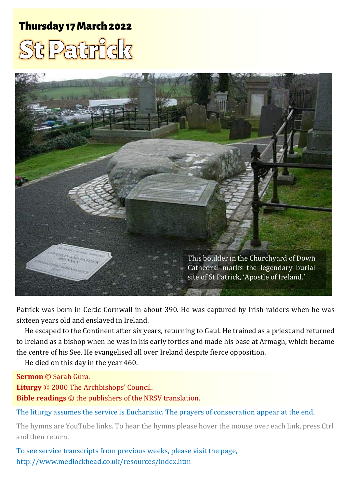### **Thursday 17 March 2022**

# Patrick



Patrick was born in Celtic Cornwall in about 390. He was captured by Irish raiders when he was sixteen years old and enslaved in Ireland.

He escaped to the Continent after six years, returning to Gaul. He trained as a priest and returned to Ireland as a bishop when he was in his early forties and made his base at Armagh, which became the centre of his See. He evangelised all over Ireland despite fierce opposition.

He died on this day in the year 460.

**Sermon** © Sarah Gura. **Liturgy** © 2000 The Archbishops' Council. **Bible readings** © the publishers of the NRSV translation.

The liturgy assumes the service is Eucharistic. The prayers of consecration appear at the end.

The hymns are YouTube links. To hear the hymns please hover the mouse over each link, press Ctrl and then return.

To see service transcripts from previous weeks, please visit the page, <http://www.medlockhead.co.uk/resources/index.htm>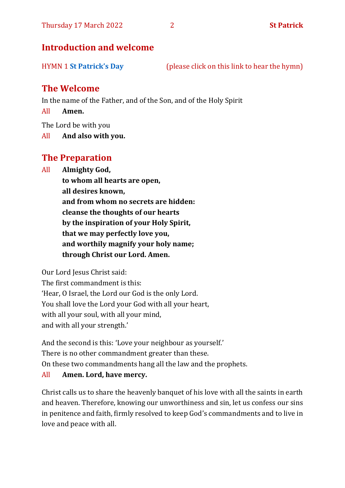#### **Introduction and welcome**

HYMN 1 **[St Patrick's Day](https://www.youtube.com/watch?v=xIwTk266RkM)** (please click on this link to hear the hymn)

#### **The Welcome**

In the name of the Father, and of the Son, and of the Holy Spirit

All **Amen.**

The Lord be with you

All **And also with you.**

#### **The Preparation**

All **Almighty God,**

**to whom all hearts are open, all desires known, and from whom no secrets are hidden: cleanse the thoughts of our hearts by the inspiration of your Holy Spirit, that we may perfectly love you, and worthily magnify your holy name; through Christ our Lord. Amen.**

Our Lord Jesus Christ said:

The first commandment is this: 'Hear, O Israel, the Lord our God is the only Lord. You shall love the Lord your God with all your heart, with all your soul, with all your mind, and with all your strength.'

And the second is this: 'Love your neighbour as yourself.' There is no other commandment greater than these. On these two commandments hang all the law and the prophets.

#### All **Amen. Lord, have mercy.**

Christ calls us to share the heavenly banquet of his love with all the saints in earth and heaven. Therefore, knowing our unworthiness and sin, let us confess our sins in penitence and faith, firmly resolved to keep God's commandments and to live in love and peace with all.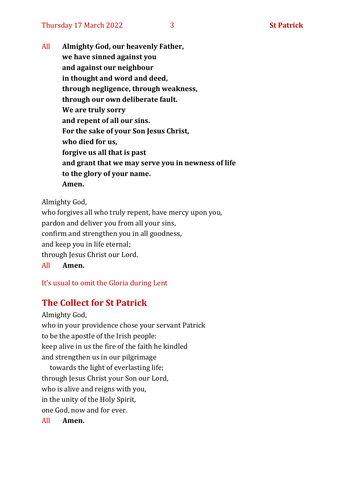All **Almighty God, our heavenly Father, we have sinned against you and against our neighbour in thought and word and deed, through negligence, through weakness, through our own deliberate fault. We are truly sorry and repent of all our sins. For the sake of your Son Jesus Christ, who died for us, forgive us all that is past and grant that we may serve you in newness of life to the glory of your name. Amen.**

Almighty God,

who forgives all who truly repent, have mercy upon you, pardon and deliver you from all your sins, confirm and strengthen you in all goodness, and keep you in life eternal; through Jesus Christ our Lord. All **Amen.**

It's usual to omit the Gloria during Lent

#### **The Collect for St Patrick**

Almighty God, who in your providence chose your servant Patrick to be the apostle of the Irish people: keep alive in us the fire of the faith he kindled and strengthen us in our pilgrimage towards the light of everlasting life; through Jesus Christ your Son our Lord, who is alive and reigns with you, in the unity of the Holy Spirit,

one God, now and for ever.

All **Amen.**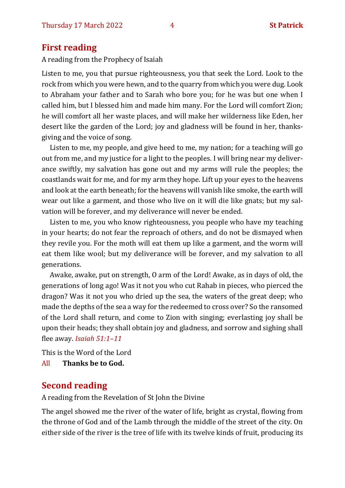#### **First reading**

A reading from the Prophecy of Isaiah

Listen to me, you that pursue righteousness, you that seek the Lord. Look to the rock from which you were hewn, and to the quarry from which you were dug. Look to Abraham your father and to Sarah who bore you; for he was but one when I called him, but I blessed him and made him many. For the Lord will comfort Zion; he will comfort all her waste places, and will make her wilderness like Eden, her desert like the garden of the Lord; joy and gladness will be found in her, thanksgiving and the voice of song.

Listen to me, my people, and give heed to me, my nation; for a teaching will go out from me, and my justice for a light to the peoples. I will bring near my deliverance swiftly, my salvation has gone out and my arms will rule the peoples; the coastlands wait for me, and for my arm they hope. Lift up your eyes to the heavens and look at the earth beneath; for the heavens will vanish like smoke, the earth will wear out like a garment, and those who live on it will die like gnats; but my salvation will be forever, and my deliverance will never be ended.

Listen to me, you who know righteousness, you people who have my teaching in your hearts; do not fear the reproach of others, and do not be dismayed when they revile you. For the moth will eat them up like a garment, and the worm will eat them like wool; but my deliverance will be forever, and my salvation to all generations.

Awake, awake, put on strength, O arm of the Lord! Awake, as in days of old, the generations of long ago! Was it not you who cut Rahab in pieces, who pierced the dragon? Was it not you who dried up the sea, the waters of the great deep; who made the depths of the sea a way for the redeemed to cross over? So the ransomed of the Lord shall return, and come to Zion with singing; everlasting joy shall be upon their heads; they shall obtain joy and gladness, and sorrow and sighing shall flee away. *Isaiah 51:1–11*

This is the Word of the Lord

All **Thanks be to God.**

#### **Second reading**

A reading from the Revelation of St John the Divine

The angel showed me the river of the water of life, bright as crystal, flowing from the throne of God and of the Lamb through the middle of the street of the city. On either side of the river is the tree of life with its twelve kinds of fruit, producing its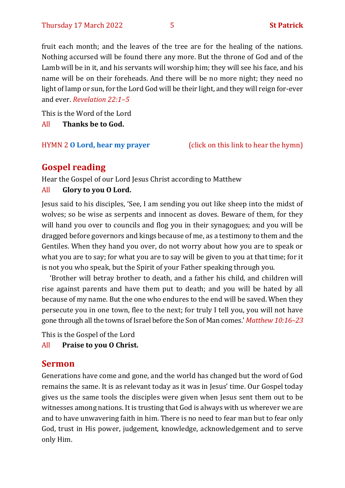fruit each month; and the leaves of the tree are for the healing of the nations. Nothing accursed will be found there any more. But the throne of God and of the Lamb will be in it, and his servants will worship him; they will see his face, and his name will be on their foreheads. And there will be no more night; they need no light of lamp or sun, for the Lord God will be their light, and they will reign for-ever and ever. *Revelation 22:1–5*

This is the Word of the Lord

All **Thanks be to God.**

HYMN 2 **[O Lord, hear my prayer](https://www.youtube.com/watch?v=f51n-yb11dY)** (click on this link to hear the hymn)

#### **Gospel reading**

Hear the Gospel of our Lord Jesus Christ according to Matthew

#### All **Glory to you O Lord.**

Jesus said to his disciples, 'See, I am sending you out like sheep into the midst of wolves; so be wise as serpents and innocent as doves. Beware of them, for they will hand you over to councils and flog you in their synagogues; and you will be dragged before governors and kings because of me, as a testimony to them and the Gentiles. When they hand you over, do not worry about how you are to speak or what you are to say; for what you are to say will be given to you at that time; for it is not you who speak, but the Spirit of your Father speaking through you.

'Brother will betray brother to death, and a father his child, and children will rise against parents and have them put to death; and you will be hated by all because of my name. But the one who endures to the end will be saved. When they persecute you in one town, flee to the next; for truly I tell you, you will not have gone through all the towns of Israel before the Son of Man comes.' *Matthew 10:16–23*

This is the Gospel of the Lord All **Praise to you O Christ.** 

#### **Sermon**

Generations have come and gone, and the world has changed but the word of God remains the same. It is as relevant today as it was in Jesus' time. Our Gospel today gives us the same tools the disciples were given when Jesus sent them out to be witnesses among nations. It is trusting that God is always with us wherever we are and to have unwavering faith in him. There is no need to fear man but to fear only God, trust in His power, judgement, knowledge, acknowledgement and to serve only Him.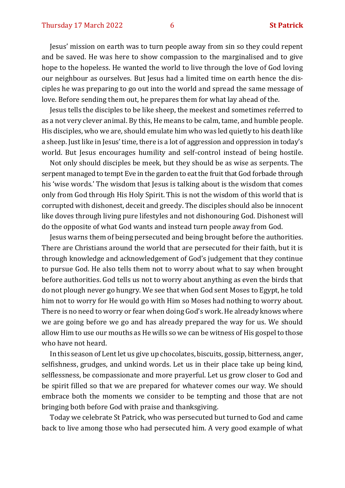Jesus' mission on earth was to turn people away from sin so they could repent and be saved. He was here to show compassion to the marginalised and to give hope to the hopeless. He wanted the world to live through the love of God loving our neighbour as ourselves. But Jesus had a limited time on earth hence the disciples he was preparing to go out into the world and spread the same message of love. Before sending them out, he prepares them for what lay ahead of the.

Jesus tells the disciples to be like sheep, the meekest and sometimes referred to as a not very clever animal. By this, He means to be calm, tame, and humble people. His disciples, who we are, should emulate him who was led quietly to his death like a sheep. Just like in Jesus' time, there is a lot of aggression and oppression in today's world. But Jesus encourages humility and self-control instead of being hostile.

Not only should disciples be meek, but they should be as wise as serpents. The serpent managed to tempt Eve in the garden to eat the fruit that God forbade through his 'wise words.' The wisdom that Jesus is talking about is the wisdom that comes only from God through His Holy Spirit. This is not the wisdom of this world that is corrupted with dishonest, deceit and greedy. The disciples should also be innocent like doves through living pure lifestyles and not dishonouring God. Dishonest will do the opposite of what God wants and instead turn people away from God.

Jesus warns them of being persecuted and being brought before the authorities. There are Christians around the world that are persecuted for their faith, but it is through knowledge and acknowledgement of God's judgement that they continue to pursue God. He also tells them not to worry about what to say when brought before authorities. God tells us not to worry about anything as even the birds that do not plough never go hungry. We see that when God sent Moses to Egypt, he told him not to worry for He would go with Him so Moses had nothing to worry about. There is no need to worry or fear when doing God's work. He already knows where we are going before we go and has already prepared the way for us. We should allow Him to use our mouths as He wills so we can be witness of His gospel to those who have not heard.

In this season of Lent let us give up chocolates, biscuits, gossip, bitterness, anger, selfishness, grudges, and unkind words. Let us in their place take up being kind, selflessness, be compassionate and more prayerful. Let us grow closer to God and be spirit filled so that we are prepared for whatever comes our way. We should embrace both the moments we consider to be tempting and those that are not bringing both before God with praise and thanksgiving.

Today we celebrate St Patrick, who was persecuted but turned to God and came back to live among those who had persecuted him. A very good example of what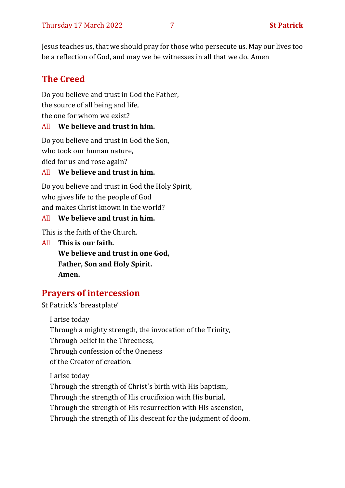Jesus teaches us, that we should pray for those who persecute us. May our lives too be a reflection of God, and may we be witnesses in all that we do. Amen

### **The Creed**

Do you believe and trust in God the Father, the source of all being and life, the one for whom we exist?

#### All **We believe and trust in him.**

Do you believe and trust in God the Son, who took our human nature,

died for us and rose again?

#### All **We believe and trust in him.**

Do you believe and trust in God the Holy Spirit, who gives life to the people of God and makes Christ known in the world?

#### All **We believe and trust in him.**

This is the faith of the Church.

All **This is our faith. We believe and trust in one God, Father, Son and Holy Spirit. Amen.**

#### **Prayers of intercession**

St Patrick's 'breastplate'

I arise today Through a mighty strength, the invocation of the Trinity, Through belief in the Threeness, Through confession of the Oneness of the Creator of creation.

I arise today Through the strength of Christ's birth with His baptism, Through the strength of His crucifixion with His burial, Through the strength of His resurrection with His ascension, Through the strength of His descent for the judgment of doom.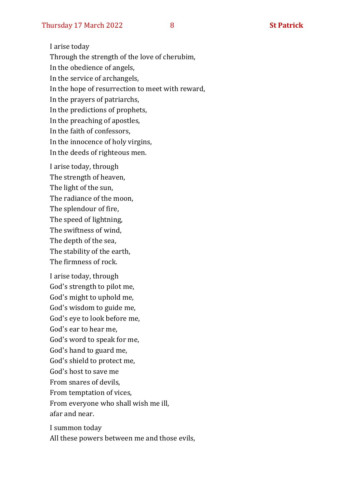I arise today Through the strength of the love of cherubim, In the obedience of angels, In the service of archangels, In the hope of resurrection to meet with reward, In the prayers of patriarchs, In the predictions of prophets, In the preaching of apostles, In the faith of confessors, In the innocence of holy virgins, In the deeds of righteous men.

I arise today, through The strength of heaven, The light of the sun, The radiance of the moon, The splendour of fire, The speed of lightning, The swiftness of wind, The depth of the sea, The stability of the earth, The firmness of rock.

I arise today, through God's strength to pilot me, God's might to uphold me, God's wisdom to guide me, God's eye to look before me, God's ear to hear me, God's word to speak for me, God's hand to guard me, God's shield to protect me, God's host to save me From snares of devils, From temptation of vices, From everyone who shall wish me ill, afar and near. I summon today

All these powers between me and those evils,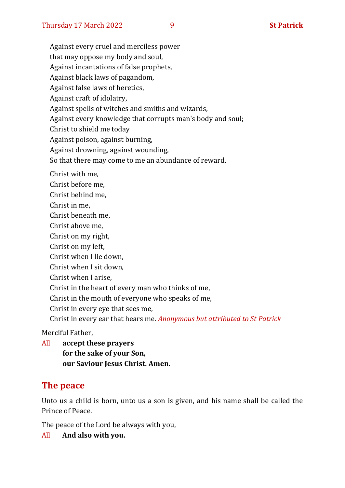Against every cruel and merciless power

that may oppose my body and soul,

Against incantations of false prophets,

Against black laws of pagandom,

Against false laws of heretics,

Against craft of idolatry,

Against spells of witches and smiths and wizards,

Against every knowledge that corrupts man's body and soul;

Christ to shield me today

Against poison, against burning,

Against drowning, against wounding,

So that there may come to me an abundance of reward.

Christ with me,

Christ before me,

Christ behind me,

Christ in me,

Christ beneath me,

Christ above me,

Christ on my right,

Christ on my left,

Christ when I lie down,

Christ when I sit down,

Christ when I arise,

Christ in the heart of every man who thinks of me,

Christ in the mouth of everyone who speaks of me,

Christ in every eye that sees me,

Christ in every ear that hears me. *Anonymous but attributed to St Patrick*

Merciful Father,

All **accept these prayers for the sake of your Son, our Saviour Jesus Christ. Amen.**

#### **The peace**

Unto us a child is born, unto us a son is given, and his name shall be called the Prince of Peace.

The peace of the Lord be always with you,

#### All **And also with you.**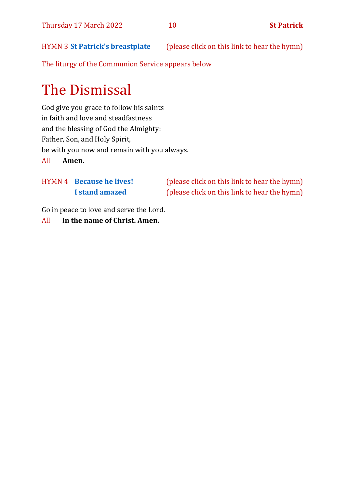HYMN 3 **[St Patrick's breastpla](https://www.youtube.com/watch?v=qXa1EzTt3f8)te** (please click on this link to hear the hymn)

The liturgy of the Communion Service appears below

# The Dismissal

God give you grace to follow his saints in faith and love and steadfastness and the blessing of God the Almighty: Father, Son, and Holy Spirit, be with you now and remain with you always.

All **Amen.**

HYMN 4 **[Because he lives!](https://www.youtube.com/watch?v=RFIr8-gH55E)** (please click on this link to hear the hymn) **[I stand amazed](https://www.youtube.com/watch?v=zmt5VNnrJIM)** (please click on this link to hear the hymn)

Go in peace to love and serve the Lord.

#### All **In the name of Christ. Amen.**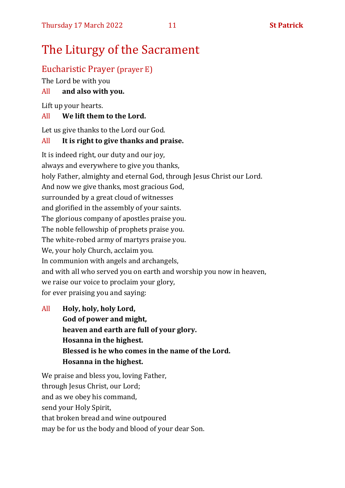## The Liturgy of the Sacrament

#### Eucharistic Prayer (prayer E)

The Lord be with you

#### All **and also with you.**

Lift up your hearts.

#### All **We lift them to the Lord.**

Let us give thanks to the Lord our God.

#### All **It is right to give thanks and praise.**

It is indeed right, our duty and our joy, always and everywhere to give you thanks, holy Father, almighty and eternal God, through Jesus Christ our Lord. And now we give thanks, most gracious God, surrounded by a great cloud of witnesses and glorified in the assembly of your saints. The glorious company of apostles praise you. The noble fellowship of prophets praise you. The white-robed army of martyrs praise you. We, your holy Church, acclaim you. In communion with angels and archangels, and with all who served you on earth and worship you now in heaven, we raise our voice to proclaim your glory, for ever praising you and saying:

All **Holy, holy, holy Lord, God of power and might, heaven and earth are full of your glory. Hosanna in the highest. Blessed is he who comes in the name of the Lord. Hosanna in the highest.**

We praise and bless you, loving Father, through Jesus Christ, our Lord; and as we obey his command, send your Holy Spirit, that broken bread and wine outpoured may be for us the body and blood of your dear Son.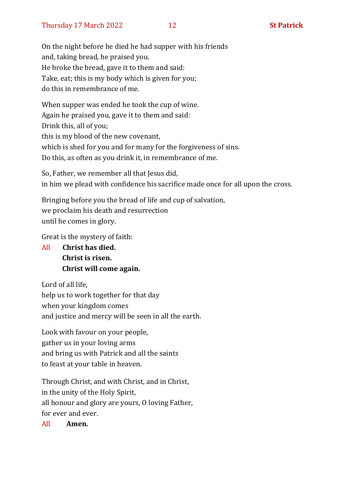On the night before he died he had supper with his friends and, taking bread, he praised you. He broke the bread, gave it to them and said: Take, eat; this is my body which is given for you; do this in remembrance of me.

When supper was ended he took the cup of wine. Again he praised you, gave it to them and said: Drink this, all of you; this is my blood of the new covenant, which is shed for you and for many for the forgiveness of sins. Do this, as often as you drink it, in remembrance of me.

So, Father, we remember all that Jesus did, in him we plead with confidence his sacrifice made once for all upon the cross.

Bringing before you the bread of life and cup of salvation, we proclaim his death and resurrection until he comes in glory.

Great is the mystery of faith:

All **Christ has died. Christ is risen. Christ will come again.**

Lord of all life, help us to work together for that day when your kingdom comes and justice and mercy will be seen in all the earth.

Look with favour on your people, gather us in your loving arms and bring us with Patrick and all the saints to feast at your table in heaven.

Through Christ, and with Christ, and in Christ, in the unity of the Holy Spirit, all honour and glory are yours, O loving Father, for ever and ever.

All **Amen.**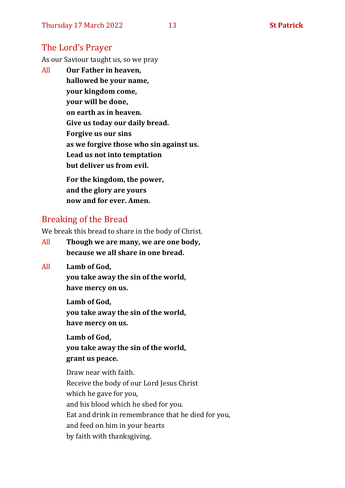#### The Lord's Prayer

As our Saviour taught us, so we pray

All **Our Father in heaven, hallowed be your name, your kingdom come, your will be done, on earth as in heaven. Give us today our daily bread. Forgive us our sins as we forgive those who sin against us. Lead us not into temptation but deliver us from evil. For the kingdom, the power,** 

**and the glory are yours now and for ever. Amen.**

#### Breaking of the Bread

We break this bread to share in the body of Christ.

- All **Though we are many, we are one body, because we all share in one bread.**
- All **Lamb of God,**

**you take away the sin of the world, have mercy on us.**

**Lamb of God, you take away the sin of the world, have mercy on us.**

**Lamb of God, you take away the sin of the world, grant us peace.**

Draw near with faith. Receive the body of our Lord Jesus Christ which he gave for you, and his blood which he shed for you. Eat and drink in remembrance that he died for you, and feed on him in your hearts by faith with thanksgiving.